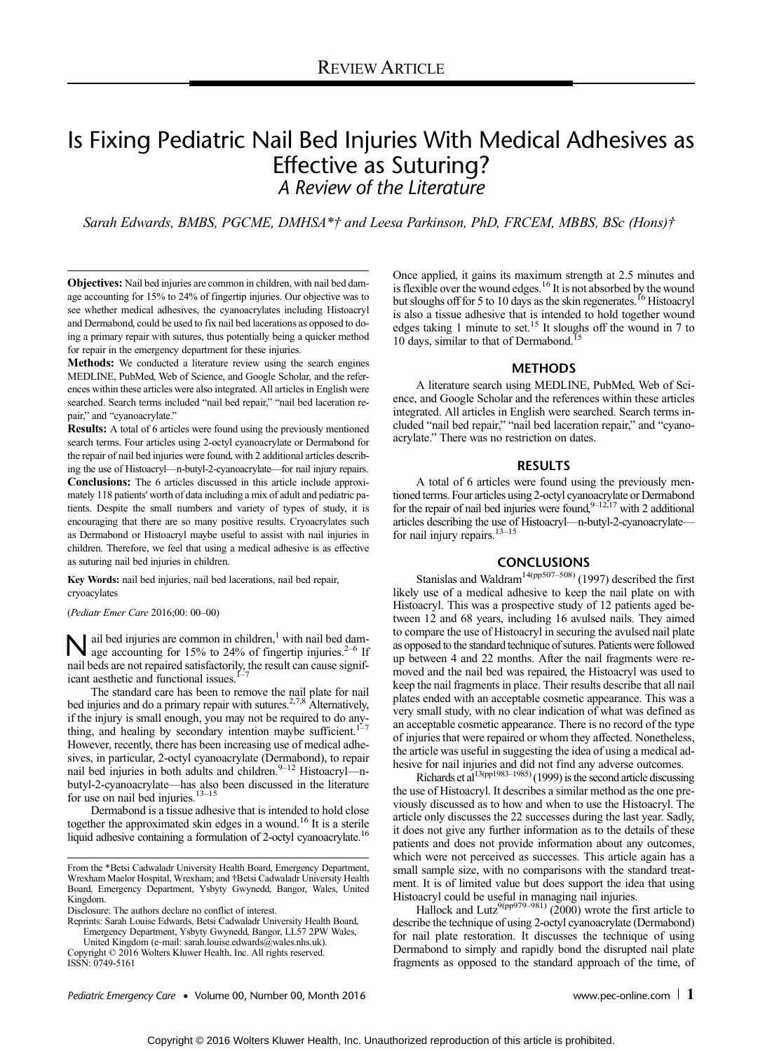# Is Fixing Pediatric Nail Bed Injuries With Medical Adhesives as Effective as Suturing? A Review of the Literature

Sarah Edwards, BMBS, PGCME, DMHSA\*† and Leesa Parkinson, PhD, FRCEM, MBBS, BSc (Hons)†

Objectives: Nail bed injuries are common in children, with nail bed damage accounting for 15% to 24% of fingertip injuries. Our objective was to see whether medical adhesives, the cyanoacrylates including Histoacryl and Dermabond, could be used to fix nail bed lacerations as opposed to doing a primary repair with sutures, thus potentially being a quicker method for repair in the emergency department for these injuries.

Methods: We conducted a literature review using the search engines MEDLINE, PubMed, Web of Science, and Google Scholar, and the references within these articles were also integrated. All articles in English were searched. Search terms included "nail bed repair," "nail bed laceration repair," and "cyanoacrylate."

Results: A total of 6 articles were found using the previously mentioned search terms. Four articles using 2-octyl cyanoacrylate or Dermabond for the repair of nail bed injuries were found, with 2 additional articles describing the use of Histoacryl—n-butyl-2-cyanoacrylate—for nail injury repairs. Conclusions: The 6 articles discussed in this article include approximately 118 patients' worth of data including a mix of adult and pediatric patients. Despite the small numbers and variety of types of study, it is encouraging that there are so many positive results. Cryoacrylates such as Dermabond or Histoacryl maybe useful to assist with nail injuries in children. Therefore, we feel that using a medical adhesive is as effective as suturing nail bed injuries in children.

Key Words: nail bed injuries, nail bed lacerations, nail bed repair, cryoacylates

(Pediatr Emer Care 2016;00: 00–00)

 $\sum$  ail bed injuries are common in children,<sup>1</sup> with nail bed dam-<br>age accounting for 15% to 24% of fingertip injuries.<sup>2–6</sup> If nail beds are not repaired satisfactorily, the result can cause significant aesthetic and functional issues.

The standard care has been to remove the nail plate for nail bed injuries and do a primary repair with sutures.<sup>2,7,8</sup> Alternatively, if the injury is small enough, you may not be required to do anything, and healing by secondary intention maybe sufficient.<sup>1–7</sup> However, recently, there has been increasing use of medical adhesives, in particular, 2-octyl cyanoacrylate (Dermabond), to repair nail bed injuries in both adults and children.<sup>9–12</sup> Histoacryl—nbutyl-2-cyanoacrylate—has also been discussed in the literature for use on nail bed injuries.<sup>13-15</sup>

Dermabond is a tissue adhesive that is intended to hold close together the approximated skin edges in a wound.16 It is a sterile liquid adhesive containing a formulation of 2-octyl cyanoacrylate.<sup>16</sup>

Disclosure: The authors declare no conflict of interest.

Reprints: Sarah Louise Edwards, Betsi Cadwaladr University Health Board, Emergency Department, Ysbyty Gwynedd, Bangor, LL57 2PW Wales,

United Kingdom (e‐mail: [sarah.louise.edwards@wales.nhs.uk](mailto:sarah.louise.edwards@wales.nhs.uk)). Copyright © 2016 Wolters Kluwer Health, Inc. All rights reserved. ISSN: 0749-5161

Once applied, it gains its maximum strength at 2.5 minutes and is flexible over the wound edges.<sup>16</sup> It is not absorbed by the wound but sloughs off for 5 to 10 days as the skin regenerates.<sup>16</sup> Histoacryl is also a tissue adhesive that is intended to hold together wound edges taking 1 minute to set.15 It sloughs off the wound in 7 to 10 days, similar to that of Dermabond.<sup>15</sup>

#### METHODS

A literature search using MEDLINE, PubMed, Web of Science, and Google Scholar and the references within these articles integrated. All articles in English were searched. Search terms included "nail bed repair," "nail bed laceration repair," and "cyanoacrylate." There was no restriction on dates.

#### RESULTS

A total of 6 articles were found using the previously mentioned terms. Four articles using 2-octyl cyanoacrylate or Dermabond for the repair of nail bed injuries were found,  $9-12,17$  with 2 additional articles describing the use of Histoacryl—n-butyl-2-cyanoacrylate—<br>for nail injury repairs.<sup>13–15</sup>

## CONCLUSIONS

Stanislas and Waldram<sup>14(pp507–508)</sup> (1997) described the first likely use of a medical adhesive to keep the nail plate on with Histoacryl. This was a prospective study of 12 patients aged between 12 and 68 years, including 16 avulsed nails. They aimed to compare the use of Histoacryl in securing the avulsed nail plate as opposed to the standard technique of sutures. Patients were followed up between 4 and 22 months. After the nail fragments were removed and the nail bed was repaired, the Histoacryl was used to keep the nail fragments in place. Their results describe that all nail plates ended with an acceptable cosmetic appearance. This was a very small study, with no clear indication of what was defined as an acceptable cosmetic appearance. There is no record of the type of injuries that were repaired or whom they affected. Nonetheless, the article was useful in suggesting the idea of using a medical ad-

hesive for nail injuries and did not find any adverse outcomes.<br>Richards et al<sup>13(pp1983–1985)</sup> (1999) is the second article discussing the use of Histoacryl. It describes a similar method as the one previously discussed as to how and when to use the Histoacryl. The article only discusses the 22 successes during the last year. Sadly, it does not give any further information as to the details of these patients and does not provide information about any outcomes, which were not perceived as successes. This article again has a small sample size, with no comparisons with the standard treatment. It is of limited value but does support the idea that using Histoacryl could be useful in managing nail injuries.

Hallock and Lutz<sup>9(pp979–981)</sup> (2000) wrote the first article to describe the technique of using 2-octyl cyanoacrylate (Dermabond) for nail plate restoration. It discusses the technique of using Dermabond to simply and rapidly bond the disrupted nail plate fragments as opposed to the standard approach of the time, of

From the \*Betsi Cadwaladr University Health Board, Emergency Department, Wrexham Maelor Hospital, Wrexham; and †Betsi Cadwaladr University Health Board, Emergency Department, Ysbyty Gwynedd, Bangor, Wales, United Kingdom.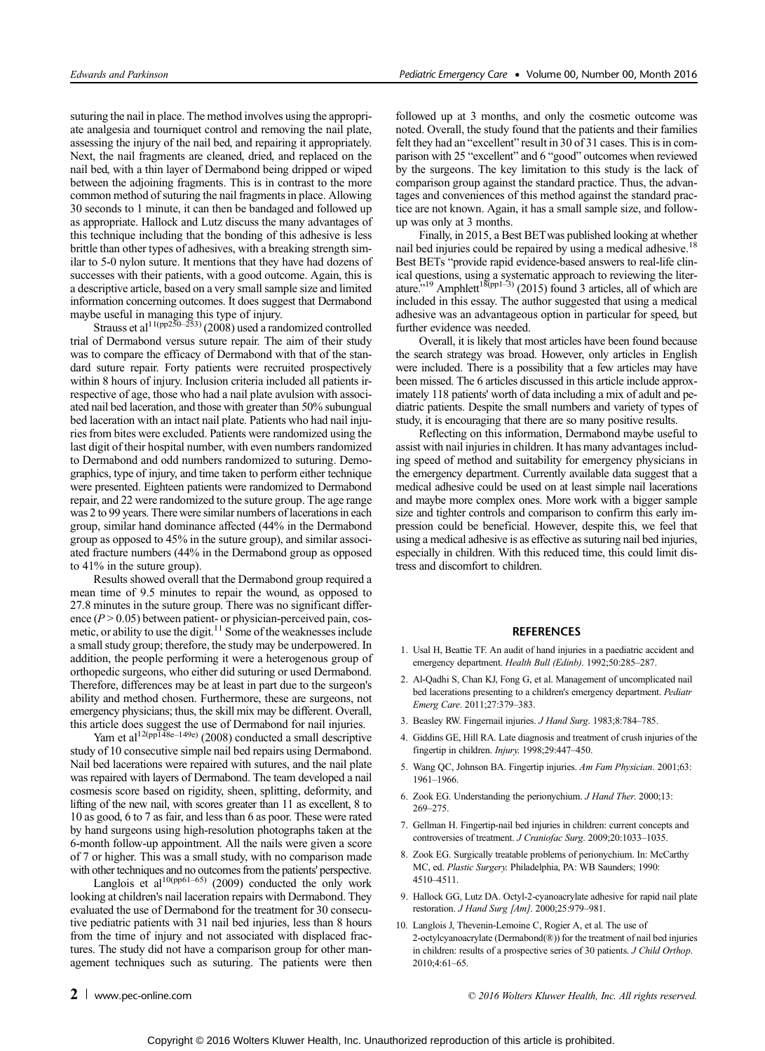suturing the nail in place. The method involves using the appropriate analgesia and tourniquet control and removing the nail plate, assessing the injury of the nail bed, and repairing it appropriately. Next, the nail fragments are cleaned, dried, and replaced on the nail bed, with a thin layer of Dermabond being dripped or wiped between the adjoining fragments. This is in contrast to the more common method of suturing the nail fragments in place. Allowing 30 seconds to 1 minute, it can then be bandaged and followed up as appropriate. Hallock and Lutz discuss the many advantages of this technique including that the bonding of this adhesive is less brittle than other types of adhesives, with a breaking strength similar to 5-0 nylon suture. It mentions that they have had dozens of successes with their patients, with a good outcome. Again, this is a descriptive article, based on a very small sample size and limited information concerning outcomes. It does suggest that Dermabond

maybe useful in managing this type of injury.<br>Strauss et al<sup>11(pp250–253)</sup> (2008) used a randomized controlled trial of Dermabond versus suture repair. The aim of their study was to compare the efficacy of Dermabond with that of the standard suture repair. Forty patients were recruited prospectively within 8 hours of injury. Inclusion criteria included all patients irrespective of age, those who had a nail plate avulsion with associated nail bed laceration, and those with greater than 50% subungual bed laceration with an intact nail plate. Patients who had nail injuries from bites were excluded. Patients were randomized using the last digit of their hospital number, with even numbers randomized to Dermabond and odd numbers randomized to suturing. Demographics, type of injury, and time taken to perform either technique were presented. Eighteen patients were randomized to Dermabond repair, and 22 were randomized to the suture group. The age range was 2 to 99 years. There were similar numbers of lacerations in each group, similar hand dominance affected (44% in the Dermabond group as opposed to 45% in the suture group), and similar associated fracture numbers (44% in the Dermabond group as opposed to 41% in the suture group).

Results showed overall that the Dermabond group required a mean time of 9.5 minutes to repair the wound, as opposed to 27.8 minutes in the suture group. There was no significant difference  $(P > 0.05)$  between patient- or physician-perceived pain, cosmetic, or ability to use the digit.<sup>11</sup> Some of the weaknesses include a small study group; therefore, the study may be underpowered. In addition, the people performing it were a heterogenous group of orthopedic surgeons, who either did suturing or used Dermabond. Therefore, differences may be at least in part due to the surgeon's ability and method chosen. Furthermore, these are surgeons, not emergency physicians; thus, the skill mix may be different. Overall, this article does suggest the use of Dermabond for nail injuries.

Yam et al<sup>12(pp148e–149e)</sup> (2008) conducted a small descriptive study of 10 consecutive simple nail bed repairs using Dermabond. Nail bed lacerations were repaired with sutures, and the nail plate was repaired with layers of Dermabond. The team developed a nail cosmesis score based on rigidity, sheen, splitting, deformity, and lifting of the new nail, with scores greater than 11 as excellent, 8 to 10 as good, 6 to 7 as fair, and less than 6 as poor. These were rated by hand surgeons using high-resolution photographs taken at the 6-month follow-up appointment. All the nails were given a score of 7 or higher. This was a small study, with no comparison made with other techniques and no outcomes from the patients' perspective.

Langlois et al<sup>10(pp61–65)</sup> (2009) conducted the only work looking at children's nail laceration repairs with Dermabond. They evaluated the use of Dermabond for the treatment for 30 consecutive pediatric patients with 31 nail bed injuries, less than 8 hours from the time of injury and not associated with displaced fractures. The study did not have a comparison group for other management techniques such as suturing. The patients were then followed up at 3 months, and only the cosmetic outcome was noted. Overall, the study found that the patients and their families felt they had an "excellent" result in 30 of 31 cases. This is in comparison with 25 "excellent" and 6 "good" outcomes when reviewed by the surgeons. The key limitation to this study is the lack of comparison group against the standard practice. Thus, the advantages and conveniences of this method against the standard practice are not known. Again, it has a small sample size, and followup was only at 3 months.

Finally, in 2015, a Best BETwas published looking at whether nail bed injuries could be repaired by using a medical adhesive.<sup>18</sup> Best BETs "provide rapid evidence-based answers to real-life clinical questions, using a systematic approach to reviewing the literature."<sup>19</sup> Amphlett<sup>18</sup>(pp<sup>1–3)</sup> (2015) found 3 articles, all of which are included in this essay. The author suggested that using a medical adhesive was an advantageous option in particular for speed, but further evidence was needed.

Overall, it is likely that most articles have been found because the search strategy was broad. However, only articles in English were included. There is a possibility that a few articles may have been missed. The 6 articles discussed in this article include approximately 118 patients' worth of data including a mix of adult and pediatric patients. Despite the small numbers and variety of types of study, it is encouraging that there are so many positive results.

Reflecting on this information, Dermabond maybe useful to assist with nail injuries in children. It has many advantages including speed of method and suitability for emergency physicians in the emergency department. Currently available data suggest that a medical adhesive could be used on at least simple nail lacerations and maybe more complex ones. More work with a bigger sample size and tighter controls and comparison to confirm this early impression could be beneficial. However, despite this, we feel that using a medical adhesive is as effective as suturing nail bed injuries, especially in children. With this reduced time, this could limit distress and discomfort to children.

### **REFERENCES**

- 1. Usal H, Beattie TF. An audit of hand injuries in a paediatric accident and emergency department. Health Bull (Edinb). 1992;50:285-287.
- 2. Al-Qadhi S, Chan KJ, Fong G, et al. Management of uncomplicated nail bed lacerations presenting to a children's emergency department. Pediatr Emerg Care. 2011;27:379–383.
- 3. Beasley RW. Fingernail injuries. J Hand Surg. 1983;8:784–785.
- 4. Giddins GE, Hill RA. Late diagnosis and treatment of crush injuries of the fingertip in children. Injury. 1998;29:447–450.
- 5. Wang QC, Johnson BA. Fingertip injuries. Am Fam Physician. 2001;63: 1961–1966.
- 6. Zook EG. Understanding the perionychium. J Hand Ther. 2000;13: 269–275.
- 7. Gellman H. Fingertip-nail bed injuries in children: current concepts and controversies of treatment. J Craniofac Surg. 2009;20:1033–1035.
- 8. Zook EG. Surgically treatable problems of perionychium. In: McCarthy MC, ed. Plastic Surgery. Philadelphia, PA: WB Saunders; 1990: 4510–4511.
- 9. Hallock GG, Lutz DA. Octyl-2-cyanoacrylate adhesive for rapid nail plate restoration. J Hand Surg [Am]. 2000;25:979–981.
- 10. Langlois J, Thevenin-Lemoine C, Rogier A, et al. The use of 2-octylcyanoacrylate (Dermabond(®)) for the treatment of nail bed injuries in children: results of a prospective series of 30 patients. J Child Orthop. 2010;4:61–65.

**2** [www.pec-online.com](http://www.pec-online.com)  $\degree$  and  $\degree$  2016 Wolters Kluwer Health, Inc. All rights reserved.